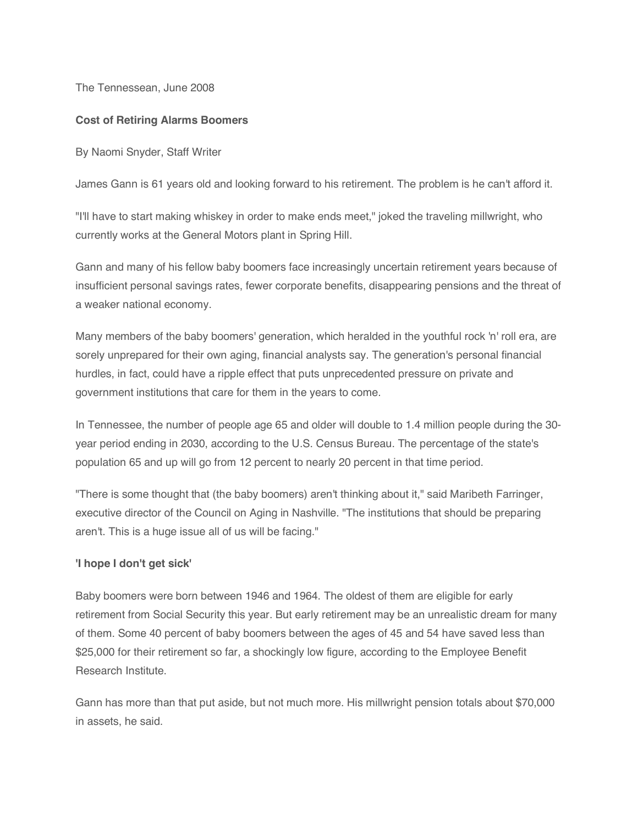The Tennessean, June 2008

## **Cost of Retiring Alarms Boomers**

By Naomi Snyder, Staff Writer

James Gann is 61 years old and looking forward to his retirement. The problem is he can't afford it.

"I'll have to start making whiskey in order to make ends meet," joked the traveling millwright, who currently works at the General Motors plant in Spring Hill.

Gann and many of his fellow baby boomers face increasingly uncertain retirement years because of insufficient personal savings rates, fewer corporate benefits, disappearing pensions and the threat of a weaker national economy.

Many members of the baby boomers' generation, which heralded in the youthful rock 'n' roll era, are sorely unprepared for their own aging, financial analysts say. The generation's personal financial hurdles, in fact, could have a ripple effect that puts unprecedented pressure on private and government institutions that care for them in the years to come.

In Tennessee, the number of people age 65 and older will double to 1.4 million people during the 30 year period ending in 2030, according to the U.S. Census Bureau. The percentage of the state's population 65 and up will go from 12 percent to nearly 20 percent in that time period.

"There is some thought that (the baby boomers) aren't thinking about it," said Maribeth Farringer, executive director of the Council on Aging in Nashville. "The institutions that should be preparing aren't. This is a huge issue all of us will be facing."

## **'I hope I don't get sick'**

Baby boomers were born between 1946 and 1964. The oldest of them are eligible for early retirement from Social Security this year. But early retirement may be an unrealistic dream for many of them. Some 40 percent of baby boomers between the ages of 45 and 54 have saved less than \$25,000 for their retirement so far, a shockingly low figure, according to the Employee Benefit Research Institute.

Gann has more than that put aside, but not much more. His millwright pension totals about \$70,000 in assets, he said.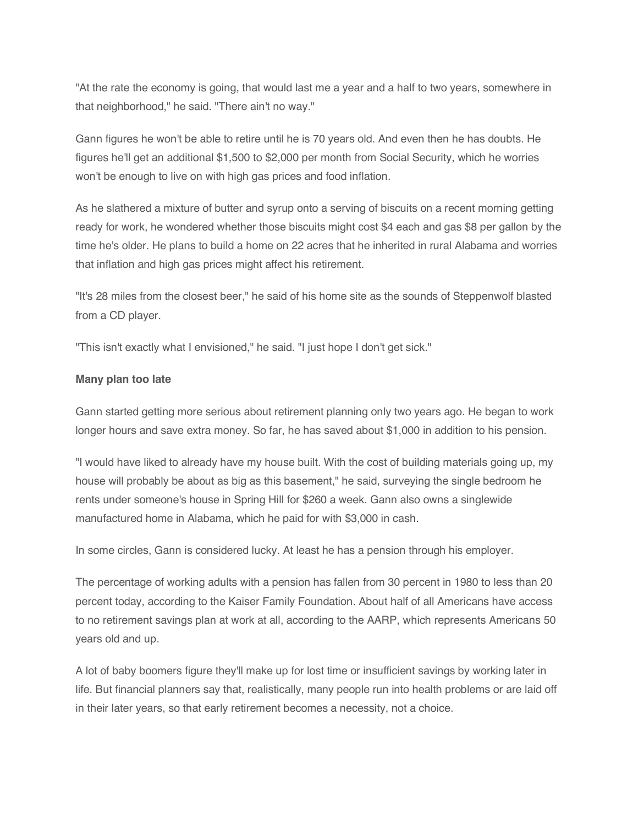"At the rate the economy is going, that would last me a year and a half to two years, somewhere in that neighborhood," he said. "There ain't no way."

Gann figures he won't be able to retire until he is 70 years old. And even then he has doubts. He figures he'll get an additional \$1,500 to \$2,000 per month from Social Security, which he worries won't be enough to live on with high gas prices and food inflation.

As he slathered a mixture of butter and syrup onto a serving of biscuits on a recent morning getting ready for work, he wondered whether those biscuits might cost \$4 each and gas \$8 per gallon by the time he's older. He plans to build a home on 22 acres that he inherited in rural Alabama and worries that inflation and high gas prices might affect his retirement.

"It's 28 miles from the closest beer," he said of his home site as the sounds of Steppenwolf blasted from a CD player.

"This isn't exactly what I envisioned," he said. "I just hope I don't get sick."

## **Many plan too late**

Gann started getting more serious about retirement planning only two years ago. He began to work longer hours and save extra money. So far, he has saved about \$1,000 in addition to his pension.

"I would have liked to already have my house built. With the cost of building materials going up, my house will probably be about as big as this basement," he said, surveying the single bedroom he rents under someone's house in Spring Hill for \$260 a week. Gann also owns a singlewide manufactured home in Alabama, which he paid for with \$3,000 in cash.

In some circles, Gann is considered lucky. At least he has a pension through his employer.

The percentage of working adults with a pension has fallen from 30 percent in 1980 to less than 20 percent today, according to the Kaiser Family Foundation. About half of all Americans have access to no retirement savings plan at work at all, according to the AARP, which represents Americans 50 years old and up.

A lot of baby boomers figure they'll make up for lost time or insufficient savings by working later in life. But financial planners say that, realistically, many people run into health problems or are laid off in their later years, so that early retirement becomes a necessity, not a choice.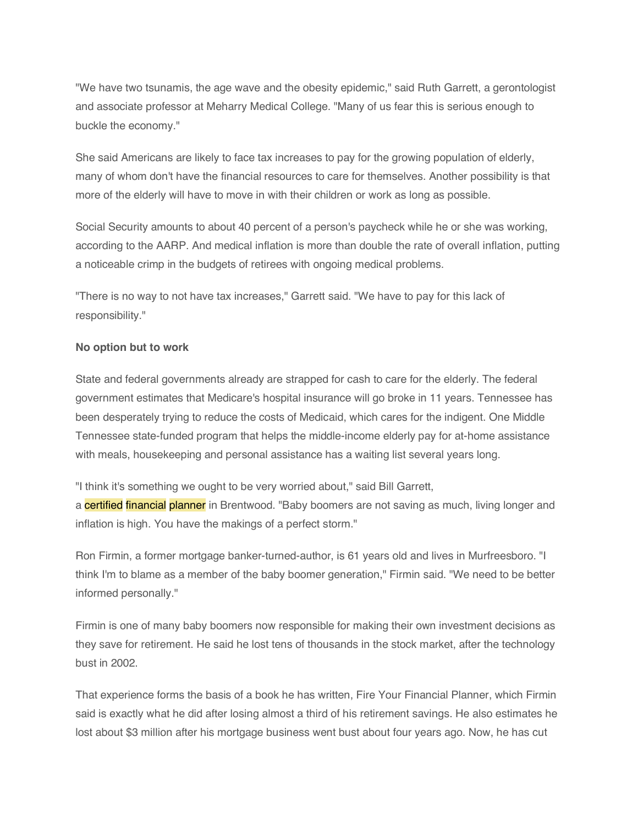"We have two tsunamis, the age wave and the obesity epidemic," said Ruth Garrett, a gerontologist and associate professor at Meharry Medical College. "Many of us fear this is serious enough to buckle the economy."

She said Americans are likely to face tax increases to pay for the growing population of elderly, many of whom don't have the financial resources to care for themselves. Another possibility is that more of the elderly will have to move in with their children or work as long as possible.

Social Security amounts to about 40 percent of a person's paycheck while he or she was working, according to the AARP. And medical inflation is more than double the rate of overall inflation, putting a noticeable crimp in the budgets of retirees with ongoing medical problems.

"There is no way to not have tax increases," Garrett said. "We have to pay for this lack of responsibility."

## **No option but to work**

State and federal governments already are strapped for cash to care for the elderly. The federal government estimates that Medicare's hospital insurance will go broke in 11 years. Tennessee has been desperately trying to reduce the costs of Medicaid, which cares for the indigent. One Middle Tennessee state-funded program that helps the middle-income elderly pay for at-home assistance with meals, housekeeping and personal assistance has a waiting list several years long.

"I think it's something we ought to be very worried about," said Bill Garrett,

a **certified financial planner** in Brentwood. "Baby boomers are not saving as much, living longer and inflation is high. You have the makings of a perfect storm."

Ron Firmin, a former mortgage banker-turned-author, is 61 years old and lives in Murfreesboro. "I think I'm to blame as a member of the baby boomer generation," Firmin said. "We need to be better informed personally."

Firmin is one of many baby boomers now responsible for making their own investment decisions as they save for retirement. He said he lost tens of thousands in the stock market, after the technology bust in 2002.

That experience forms the basis of a book he has written, Fire Your Financial Planner, which Firmin said is exactly what he did after losing almost a third of his retirement savings. He also estimates he lost about \$3 million after his mortgage business went bust about four years ago. Now, he has cut